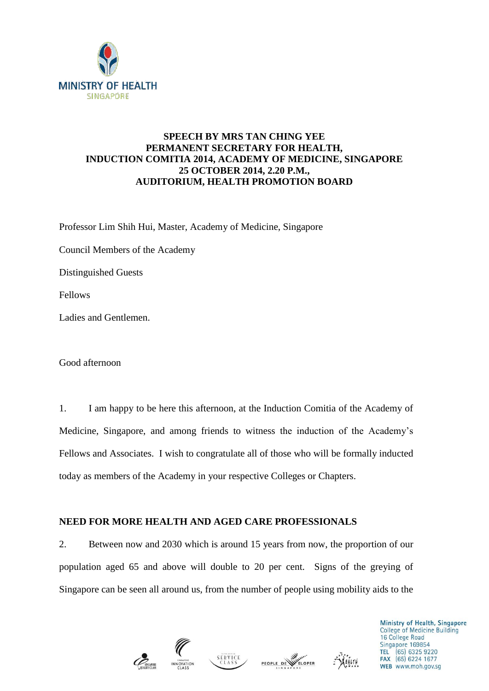

## **SPEECH BY MRS TAN CHING YEE PERMANENT SECRETARY FOR HEALTH, INDUCTION COMITIA 2014, ACADEMY OF MEDICINE, SINGAPORE 25 OCTOBER 2014, 2.20 P.M., AUDITORIUM, HEALTH PROMOTION BOARD**

Professor Lim Shih Hui, Master, Academy of Medicine, Singapore

Council Members of the Academy

Distinguished Guests

Fellows

Ladies and Gentlemen.

Good afternoon

1. I am happy to be here this afternoon, at the Induction Comitia of the Academy of Medicine, Singapore, and among friends to witness the induction of the Academy's Fellows and Associates. I wish to congratulate all of those who will be formally inducted today as members of the Academy in your respective Colleges or Chapters.

## **NEED FOR MORE HEALTH AND AGED CARE PROFESSIONALS**

2. Between now and 2030 which is around 15 years from now, the proportion of our population aged 65 and above will double to 20 per cent. Signs of the greying of Singapore can be seen all around us, from the number of people using mobility aids to the









Ministry of Health, Singapore<br>College of Medicine Building 16 College Road Singapore 169854 **TEL**  $(65)$  6325 9220 FAX (65) 6224 1677 WEB www.moh.gov.sg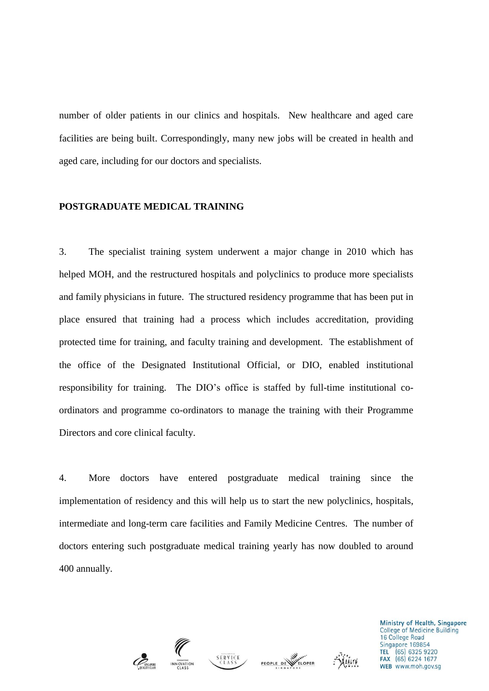number of older patients in our clinics and hospitals. New healthcare and aged care facilities are being built. Correspondingly, many new jobs will be created in health and aged care, including for our doctors and specialists.

#### **POSTGRADUATE MEDICAL TRAINING**

3. The specialist training system underwent a major change in 2010 which has helped MOH, and the restructured hospitals and polyclinics to produce more specialists and family physicians in future. The structured residency programme that has been put in place ensured that training had a process which includes accreditation, providing protected time for training, and faculty training and development. The establishment of the office of the Designated Institutional Official, or DIO, enabled institutional responsibility for training. The DIO's office is staffed by full-time institutional coordinators and programme co-ordinators to manage the training with their Programme Directors and core clinical faculty.

4. More doctors have entered postgraduate medical training since the implementation of residency and this will help us to start the new polyclinics, hospitals, intermediate and long-term care facilities and Family Medicine Centres. The number of doctors entering such postgraduate medical training yearly has now doubled to around 400 annually.









Ministry of Health, Singapore College of Medicine Building 16 College Road Singapore 169854 **TEL** (65) 6325 9220 **FAX** (65) 6224 1677 www.moh.gov.sg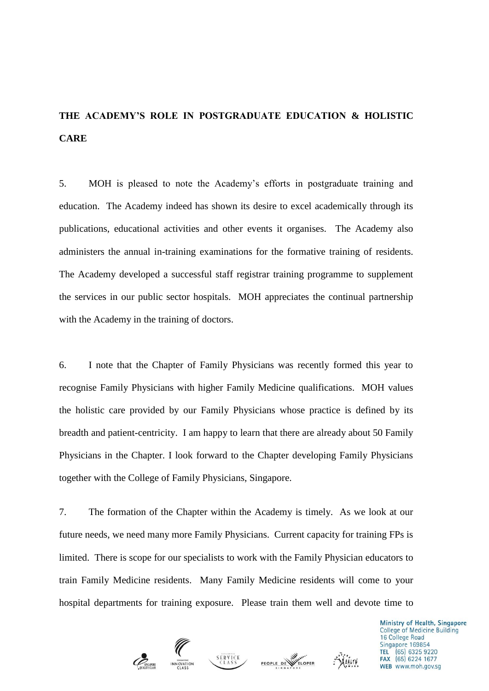# **THE ACADEMY'S ROLE IN POSTGRADUATE EDUCATION & HOLISTIC CARE**

5. MOH is pleased to note the Academy's efforts in postgraduate training and education. The Academy indeed has shown its desire to excel academically through its publications, educational activities and other events it organises. The Academy also administers the annual in-training examinations for the formative training of residents. The Academy developed a successful staff registrar training programme to supplement the services in our public sector hospitals. MOH appreciates the continual partnership with the Academy in the training of doctors.

6. I note that the Chapter of Family Physicians was recently formed this year to recognise Family Physicians with higher Family Medicine qualifications. MOH values the holistic care provided by our Family Physicians whose practice is defined by its breadth and patient-centricity. I am happy to learn that there are already about 50 Family Physicians in the Chapter. I look forward to the Chapter developing Family Physicians together with the College of Family Physicians, Singapore.

7. The formation of the Chapter within the Academy is timely. As we look at our future needs, we need many more Family Physicians. Current capacity for training FPs is limited. There is scope for our specialists to work with the Family Physician educators to train Family Medicine residents. Many Family Medicine residents will come to your hospital departments for training exposure. Please train them well and devote time to







Ministry of Health, Singapore<br>College of Medicine Building 16 College Road Singapore 169854 **TEL** (65) 6325 9220 **FAX** (65) 6224 1677 www.moh.gov.sg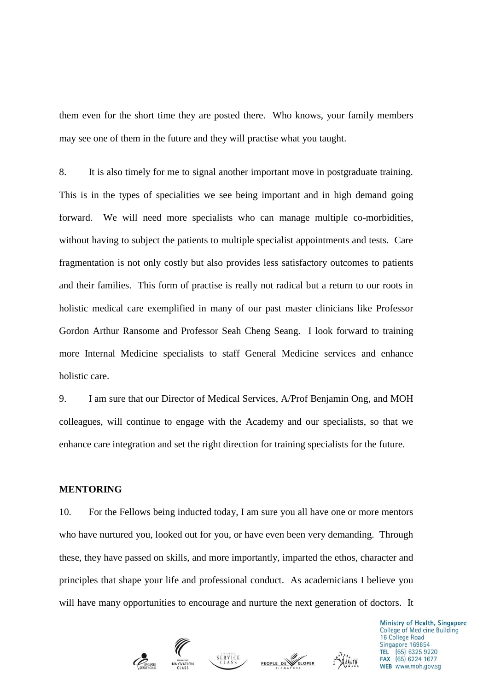them even for the short time they are posted there. Who knows, your family members may see one of them in the future and they will practise what you taught.

8. It is also timely for me to signal another important move in postgraduate training. This is in the types of specialities we see being important and in high demand going forward. We will need more specialists who can manage multiple co-morbidities, without having to subject the patients to multiple specialist appointments and tests. Care fragmentation is not only costly but also provides less satisfactory outcomes to patients and their families. This form of practise is really not radical but a return to our roots in holistic medical care exemplified in many of our past master clinicians like Professor Gordon Arthur Ransome and Professor Seah Cheng Seang. I look forward to training more Internal Medicine specialists to staff General Medicine services and enhance holistic care.

9. I am sure that our Director of Medical Services, A/Prof Benjamin Ong, and MOH colleagues, will continue to engage with the Academy and our specialists, so that we enhance care integration and set the right direction for training specialists for the future.

### **MENTORING**

10. For the Fellows being inducted today, I am sure you all have one or more mentors who have nurtured you, looked out for you, or have even been very demanding. Through these, they have passed on skills, and more importantly, imparted the ethos, character and principles that shape your life and professional conduct. As academicians I believe you will have many opportunities to encourage and nurture the next generation of doctors. It







Ministry of Health, Singapore<br>College of Medicine Building 16 College Road Singapore 169854 **TEL** (65) 6325 9220 **FAX** (65) 6224 1677 www.moh.gov.sq